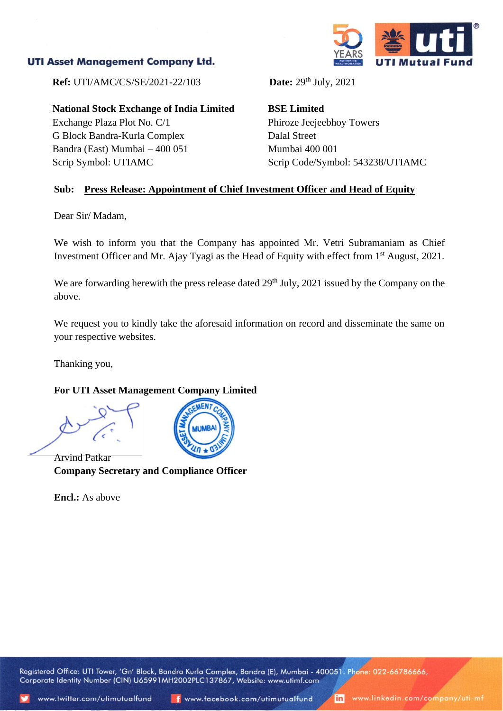## **UTI Asset Management Company Ltd.**



**Ref:** UTI/AMC/CS/SE/2021-22/103

**National Stock Exchange of India Limited**

Exchange Plaza Plot No. C/1 G Block Bandra-Kurla Complex Bandra (East) Mumbai – 400 051 Scrip Symbol: UTIAMC

Date:  $29<sup>th</sup>$  July,  $2021$ 

**BSE Limited** Phiroze Jeejeebhoy Towers Dalal Street Mumbai 400 001 Scrip Code/Symbol: 543238/UTIAMC

#### **Sub: Press Release: Appointment of Chief Investment Officer and Head of Equity**

Dear Sir/ Madam,

We wish to inform you that the Company has appointed Mr. Vetri Subramaniam as Chief Investment Officer and Mr. Ajay Tyagi as the Head of Equity with effect from 1<sup>st</sup> August, 2021.

We are forwarding herewith the press release dated 29<sup>th</sup> July, 2021 issued by the Company on the above.

We request you to kindly take the aforesaid information on record and disseminate the same on your respective websites.

Thanking you,

#### **For UTI Asset Management Company Limited**

Arvind Patkar **Company Secretary and Compliance Officer**

**Encl.:** As above

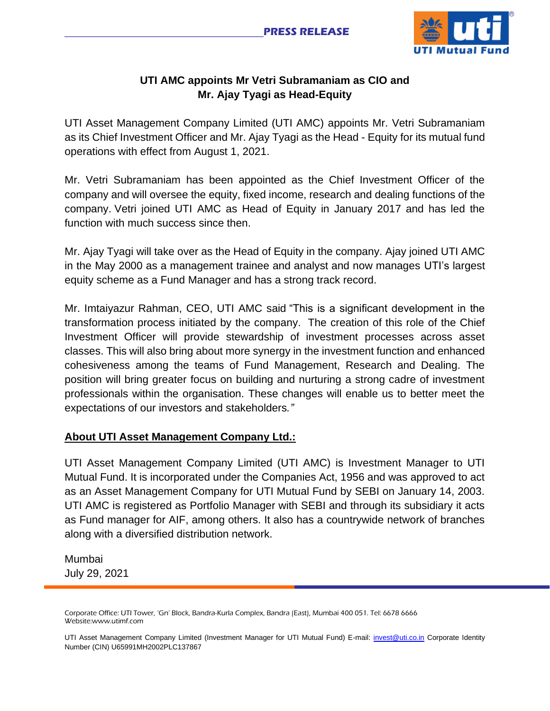

# **UTI AMC appoints Mr Vetri Subramaniam as CIO and Mr. Ajay Tyagi as Head-Equity**

UTI Asset Management Company Limited (UTI AMC) appoints Mr. Vetri Subramaniam as its Chief Investment Officer and Mr. Ajay Tyagi as the Head - Equity for its mutual fund operations with effect from August 1, 2021.

Mr. Vetri Subramaniam has been appointed as the Chief Investment Officer of the company and will oversee the equity, fixed income, research and dealing functions of the company. Vetri joined UTI AMC as Head of Equity in January 2017 and has led the function with much success since then.

Mr. Ajay Tyagi will take over as the Head of Equity in the company. Ajay joined UTI AMC in the May 2000 as a management trainee and analyst and now manages UTI's largest equity scheme as a Fund Manager and has a strong track record.

Mr. Imtaiyazur Rahman, CEO, UTI AMC said "This is a significant development in the transformation process initiated by the company. The creation of this role of the Chief Investment Officer will provide stewardship of investment processes across asset classes. This will also bring about more synergy in the investment function and enhanced cohesiveness among the teams of Fund Management, Research and Dealing. The position will bring greater focus on building and nurturing a strong cadre of investment professionals within the organisation. These changes will enable us to better meet the expectations of our investors and stakeholders*."*

### **About UTI Asset Management Company Ltd.:**

UTI Asset Management Company Limited (UTI AMC) is Investment Manager to UTI Mutual Fund. It is incorporated under the Companies Act, 1956 and was approved to act as an Asset Management Company for UTI Mutual Fund by SEBI on January 14, 2003. UTI AMC is registered as Portfolio Manager with SEBI and through its subsidiary it acts as Fund manager for AIF, among others. It also has a countrywide network of branches along with a diversified distribution network.

Mumbai July 29, 2021

Corporate Office: UTI Tower, 'Gn' Block, Bandra-Kurla Complex, Bandra (East), Mumbai 400 051. Tel: 6678 6666 Website:www.utimf.com

UTI Asset Management Company Limited (Investment Manager for UTI Mutual Fund) E-mail: [invest@uti.co.in](mailto:invest@uti.co.in) Corporate Identity Number (CIN) U65991MH2002PLC137867